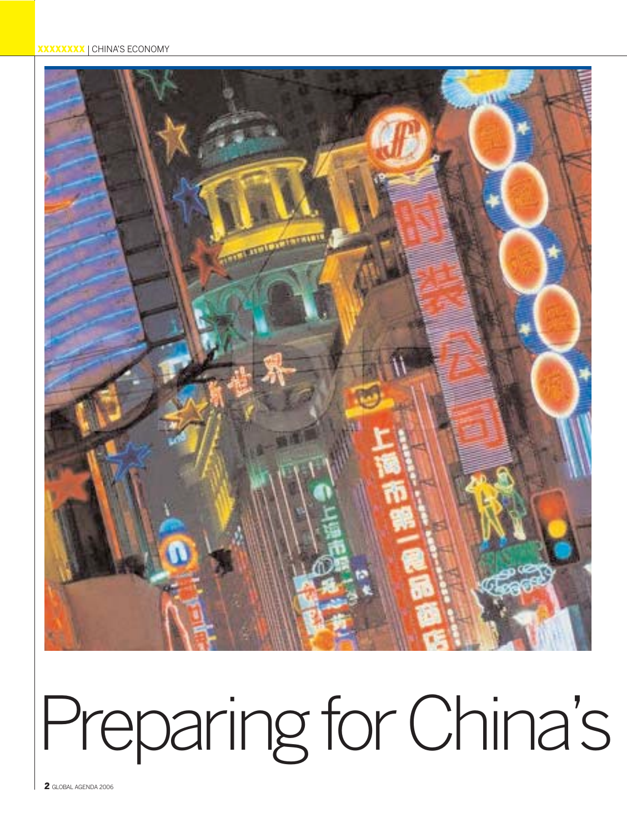#### **XXXXXXXXX** | CHINA'S ECONOMY



# Preparing for China's

2 GLOBAL AGENDA 2006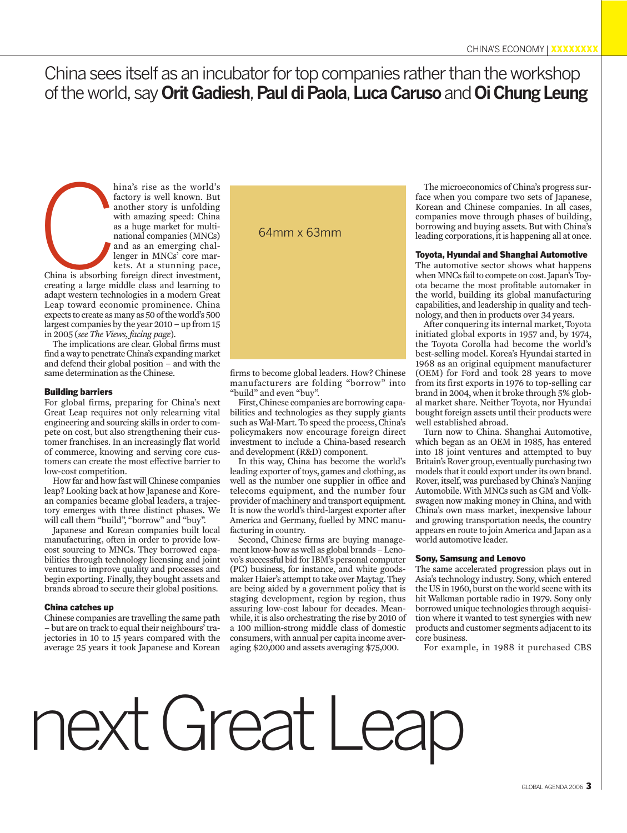### China sees itself as an incubator for top companies rather than the workshop of the world, say **Orit Gadiesh**, **Paul di Paola**, **Luca Caruso**and **Oi Chung Leung**

hina's rise as the world's factory is well known. But another story is unfolding with amazing speed: China as a huge market for multinational companies (MNCs) and as an emerging challenger in MNCs' core markets. At a stunning pace, hina's rise as the world's<br>factory is well known. But<br>another story is unfolding<br>with amazing speed: China<br>as a huge market for multi-<br>national companies (MNCs)<br>and as an emerging chal-<br>lenger in MNCs' core mar-<br>kets. At a

China is absorbing foreign direct investment, creating a large middle class and learning to adapt western technologies in a modern Great Leap toward economic prominence. China expects to create as many as 50 of the world's 500 largest companies by the year 2010 – up from 15 in 2005 (*see The Views, facing page*).

The implications are clear. Global firms must find a way to penetrate China's expanding market and defend their global position – and with the same determination as the Chinese.

#### Building barriers

For global firms, preparing for China's next Great Leap requires not only relearning vital engineering and sourcing skills in order to compete on cost, but also strengthening their customer franchises. In an increasingly flat world of commerce, knowing and serving core customers can create the most effective barrier to low-cost competition.

How far and how fast will Chinese companies leap? Looking back at how Japanese and Korean companies became global leaders, a trajectory emerges with three distinct phases. We will call them "build", "borrow" and "buy".

Japanese and Korean companies built local manufacturing, often in order to provide lowcost sourcing to MNCs. They borrowed capabilities through technology licensing and joint ventures to improve quality and processes and begin exporting. Finally, they bought assets and brands abroad to secure their global positions.

#### China catches up

Chinese companies are travelling the same path – but are on track to equal their neighbours' trajectories in 10 to 15 years compared with the average 25 years it took Japanese and Korean

firms to become global leaders. How? Chinese manufacturers are folding "borrow" into "build" and even "buy".

First, Chinese companies are borrowing capabilities and technologies as they supply giants such as Wal-Mart. To speed the process, China's policymakers now encourage foreign direct investment to include a China-based research and development (R&D) component.

In this way, China has become the world's leading exporter of toys, games and clothing, as well as the number one supplier in office and telecoms equipment, and the number four provider of machinery and transport equipment. It is now the world's third-largest exporter after America and Germany, fuelled by MNC manufacturing in country.

Second, Chinese firms are buying management know-how as well as global brands – Lenovo's successful bid for IBM's personal computer (PC) business, for instance, and white goodsmaker Haier's attempt to take over Maytag. They are being aided by a government policy that is staging development, region by region, thus assuring low-cost labour for decades. Meanwhile, it is also orchestrating the rise by 2010 of a 100 million-strong middle class of domestic consumers, with annual per capita income averaging \$20,000 and assets averaging \$75,000.

The microeconomics of China's progress surface when you compare two sets of Japanese, Korean and Chinese companies. In all cases, companies move through phases of building, borrowing and buying assets. But with China's leading corporations, it is happening all at once.

#### Toyota, Hyundai and Shanghai Automotive

The automotive sector shows what happens when MNCs fail to compete on cost. Japan's Toyota became the most profitable automaker in the world, building its global manufacturing capabilities, and leadership in quality and technology, and then in products over 34 years.

After conquering its internal market, Toyota initiated global exports in 1957 and, by 1974, the Toyota Corolla had become the world's best-selling model. Korea's Hyundai started in 1968 as an original equipment manufacturer (OEM) for Ford and took 28 years to move from its first exports in 1976 to top-selling car brand in 2004, when it broke through 5% global market share. Neither Toyota, nor Hyundai bought foreign assets until their products were well established abroad.

Turn now to China. Shanghai Automotive, which began as an OEM in 1985, has entered into 18 joint ventures and attempted to buy Britain's Rover group, eventually purchasing two models that it could export under its own brand. Rover, itself, was purchased by China's Nanjing Automobile. With MNCs such as GM and Volkswagen now making money in China, and with China's own mass market, inexpensive labour and growing transportation needs, the country appears en route to join America and Japan as a world automotive leader.

#### Sony, Samsung and Lenovo

The same accelerated progression plays out in Asia's technology industry. Sony, which entered the US in 1960, burst on the world scene with its hit Walkman portable radio in 1979. Sony only borrowed unique technologies through acquisition where it wanted to test synergies with new products and customer segments adjacent to its core business.

For example, in 1988 it purchased CBS

## next Great Leap